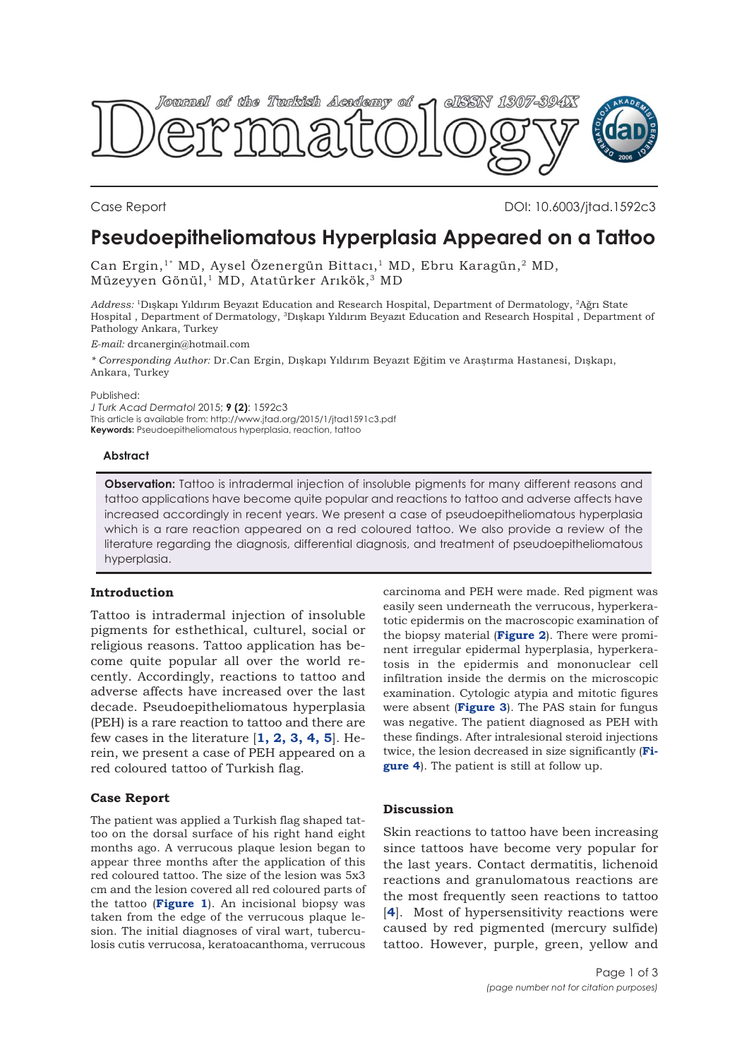

Case Report DOI: 10.6003/jtad.1592c3

# **Pseudoepitheliomatous Hyperplasia Appeared on a Tattoo**

Can Ergin,<sup>1\*</sup> MD, Aysel Özenergün Bittacı,<sup>1</sup> MD, Ebru Karagün,<sup>2</sup> MD, Müzeyyen Gönül,<sup>1</sup> MD, Atatürker Arıkök,<sup>3</sup> MD

*Address:* 1Dışkapı Yıldırım Beyazıt Education and Research Hospital, Department of Dermatology, 2Ağrı State Hospital , Department of Dermatology, 3Dışkapı Yıldırım Beyazıt Education and Research Hospital , Department of Pathology Ankara, Turkey

*E-mail:* drcanergin@hotmail.com

*\* Corresponding Author:* Dr.Can Ergin, Dışkapı Yıldırım Beyazıt Eğitim ve Araştırma Hastanesi, Dışkapı, Ankara, Turkey

Published:

*J Turk Acad Dermatol* 2015; **9 (2)**: 1592c3 This article is available from: http://www.jtad.org/2015/1/jtad1591c3.pdf **Keywords:** Pseudoepitheliomatous hyperplasia, reaction, tattoo

#### **Abstract**

**Observation:** Tattoo is intradermal injection of insoluble pigments for many different reasons and tattoo applications have become quite popular and reactions to tattoo and adverse affects have increased accordingly in recent years. We present a case of pseudoepitheliomatous hyperplasia which is a rare reaction appeared on a red coloured tattoo. We also provide a review of the literature regarding the diagnosis, differential diagnosis, and treatment of pseudoepitheliomatous hyperplasia.

#### **Introduction**

Tattoo is intradermal injection of insoluble pigments for esthethical, culturel, social or religious reasons. Tattoo application has become quite popular all over the world recently. Accordingly, reactions to tattoo and adverse affects have increased over the last decade. Pseudoepitheliomatous hyperplasia (PEH) is a rare reaction to tattoo and there are few cases in the literature  $\left[1, 2, 3, 4, 5\right]$  $\left[1, 2, 3, 4, 5\right]$  $\left[1, 2, 3, 4, 5\right]$  $\left[1, 2, 3, 4, 5\right]$  $\left[1, 2, 3, 4, 5\right]$ . Herein, we present a case of PEH appeared on a red coloured tattoo of Turkish flag.

#### **Case Report**

The patient was applied a Turkish flag shaped tattoo on the dorsal surface of his right hand eight months ago. A verrucous plaque lesion began to appear three months after the application of this red coloured tattoo. The size of the lesion was 5x3 cm and the lesion covered all red coloured parts of the tattoo (**[Figure 1](#page-1-0)**). An incisional biopsy was taken from the edge of the verrucous plaque lesion. The initial diagnoses of viral wart, tuberculosis cutis verrucosa, keratoacanthoma, verrucous

carcinoma and PEH were made. Red pigment was easily seen underneath the verrucous, hyperkeratotic epidermis on the macroscopic examination of the biopsy material (**[Figure 2](#page-1-0)**). There were prominent irregular epidermal hyperplasia, hyperkeratosis in the epidermis and mononuclear cell infiltration inside the dermis on the microscopic examination. Cytologic atypia and mitotic figures were absent (**[Figure 3](#page-1-0)**). The PAS stain for fungus was negative. The patient diagnosed as PEH with these findings. After intralesional steroid injections [twice, the lesion decreased in size significantly \(](#page-1-0)**Figure 4**). The patient is still at follow up.

## **Discussion**

Skin reactions to tattoo have been increasing since tattoos have become very popular for the last years. Contact dermatitis, lichenoid reactions and granulomatous reactions are the most frequently seen reactions to tattoo [**[4](#page-2-0)**]. Most of hypersensitivity reactions were caused by red pigmented (mercury sulfide) tattoo. However, purple, green, yellow and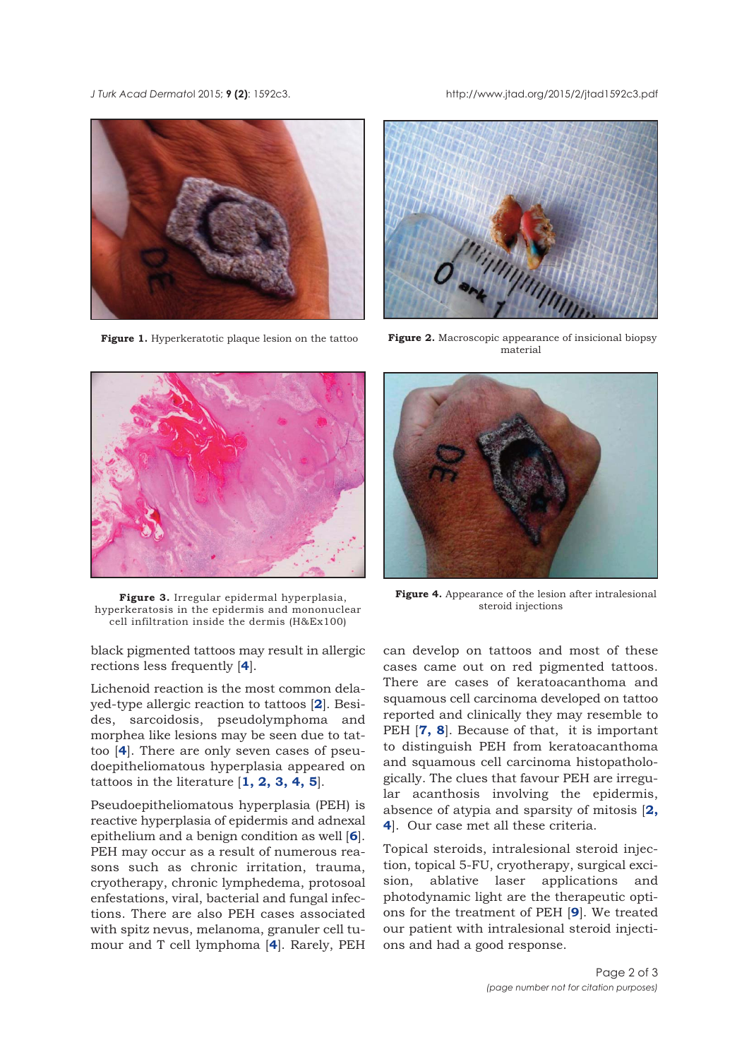#### <span id="page-1-0"></span>*J Turk Acad Dermato*l 2015; **9 (2)**: 1592c3. http://www.jtad.org/2015/2/jtad1592c3.pdf



**Figure 1.** Hyperkeratotic plaque lesion on the tattoo



**Figure 2.** Macroscopic appearance of insicional biopsy material



**Figure 3.** Irregular epidermal hyperplasia, hyperkeratosis in the epidermis and mononuclear cell infiltration inside the dermis (H&Ex100)

black pigmented tattoos may result in allergic rections less frequently [**4**].

Lichenoid reaction is the most common delayed-type allergic reaction to tattoos [**[2](#page-2-0)**]. Besides, sarcoidosis, pseudolymphoma and morphea like lesions may be seen due to tattoo [**4**]. There are only seven cases of pseudoepitheliomatous hyperplasia appeared on tattoos in the literature [**[1, 2,](#page-2-0) [3,](#page-2-0) 4, 5**].

Pseudoepitheliomatous hyperplasia (PEH) is reactive hyperplasia of epidermis and adnexal epithelium and a benign condition as well [**[6](#page-2-0)**]. PEH may occur as a result of numerous reasons such as chronic irritation, trauma, cryotherapy, chronic lymphedema, protosoal enfestations, viral, bacterial and fungal infections. There are also PEH cases associated with spitz nevus, melanoma, granuler cell tumour and T cell lymphoma [**4**]. Rarely, PEH



**Figure 4.** Appearance of the lesion after intralesional steroid injections

can develop on tattoos and most of these cases came out on red pigmented tattoos. There are cases of keratoacanthoma and squamous cell carcinoma developed on tattoo reported and clinically they may resemble to PEH [**[7, 8](#page-2-0)**]. Because of that, it is important to distinguish PEH from keratoacanthoma and squamous cell carcinoma histopathologically. The clues that favour PEH are irregular acanthosis involving the epidermis, absence of atypia and sparsity of mitosis [**[2,](#page-2-0) [4](#page-2-0)**]. Our case met all these criteria.

Topical steroids, intralesional steroid injection, topical 5-FU, cryotherapy, surgical excision, ablative laser applications and photodynamic light are the therapeutic options for the treatment of PEH [**[9](#page-2-0)**]. We treated our patient with intralesional steroid injections and had a good response.